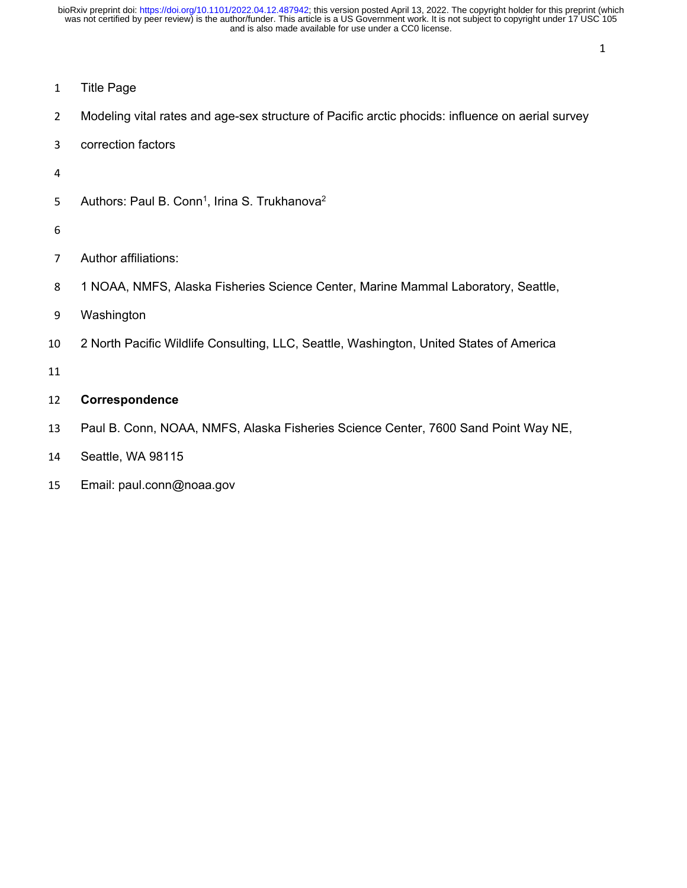- Title Page
- Modeling vital rates and age-sex structure of Pacific arctic phocids: influence on aerial survey
- correction factors
- 
- 5 Authors: Paul B. Conn<sup>1</sup>, Irina S. Trukhanova<sup>2</sup>
- 
- Author affiliations:
- 1 NOAA, NMFS, Alaska Fisheries Science Center, Marine Mammal Laboratory, Seattle,
- Washington
- 2 North Pacific Wildlife Consulting, LLC, Seattle, Washington, United States of America
- 

## **Correspondence**

- Paul B. Conn, NOAA, NMFS, Alaska Fisheries Science Center, 7600 Sand Point Way NE,
- Seattle, WA 98115
- Email: paul.conn@noaa.gov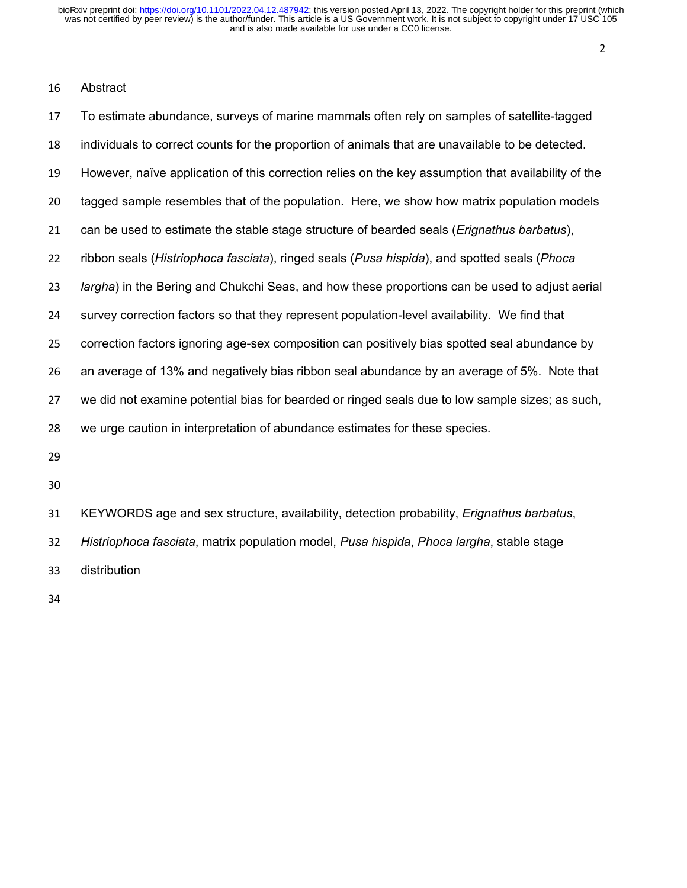## Abstract

| 17 | To estimate abundance, surveys of marine mammals often rely on samples of satellite-tagged          |
|----|-----------------------------------------------------------------------------------------------------|
| 18 | individuals to correct counts for the proportion of animals that are unavailable to be detected.    |
| 19 | However, naïve application of this correction relies on the key assumption that availability of the |
| 20 | tagged sample resembles that of the population. Here, we show how matrix population models          |
| 21 | can be used to estimate the stable stage structure of bearded seals ( <i>Erignathus barbatus</i> ), |
| 22 | ribbon seals (Histriophoca fasciata), ringed seals (Pusa hispida), and spotted seals (Phoca         |
| 23 | largha) in the Bering and Chukchi Seas, and how these proportions can be used to adjust aerial      |
| 24 | survey correction factors so that they represent population-level availability. We find that        |
| 25 | correction factors ignoring age-sex composition can positively bias spotted seal abundance by       |
| 26 | an average of 13% and negatively bias ribbon seal abundance by an average of 5%. Note that          |
| 27 | we did not examine potential bias for bearded or ringed seals due to low sample sizes; as such,     |
| 28 | we urge caution in interpretation of abundance estimates for these species.                         |
| 29 |                                                                                                     |
| 30 |                                                                                                     |

 KEYWORDS age and sex structure, availability, detection probability, *Erignathus barbatus*, *Histriophoca fasciata*, matrix population model, *Pusa hispida*, *Phoca largha*, stable stage distribution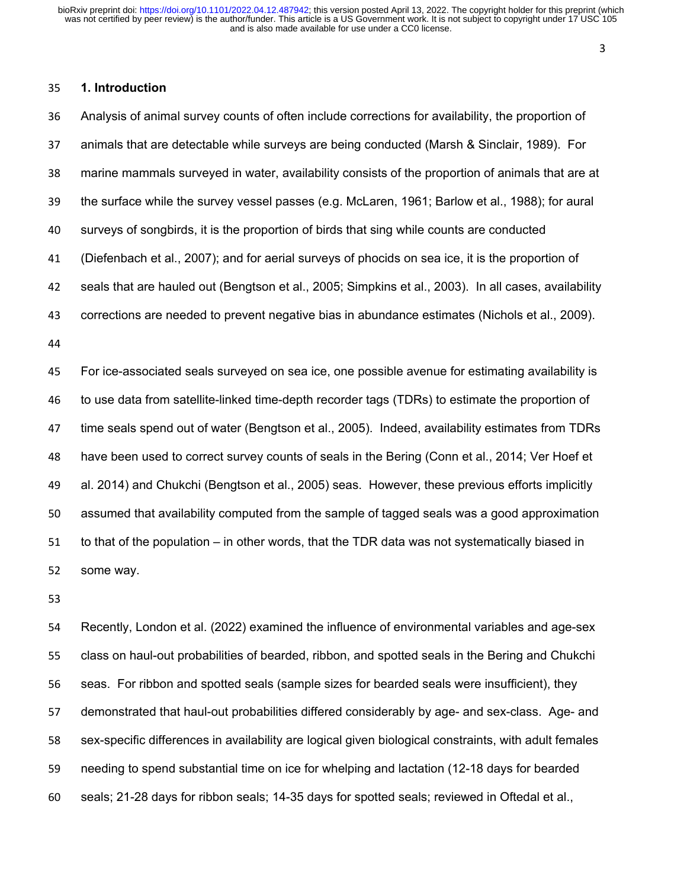#### 

#### **1. Introduction**

 Analysis of animal survey counts of often include corrections for availability, the proportion of animals that are detectable while surveys are being conducted (Marsh & Sinclair, 1989). For marine mammals surveyed in water, availability consists of the proportion of animals that are at the surface while the survey vessel passes (e.g. McLaren, 1961; Barlow et al., 1988); for aural surveys of songbirds, it is the proportion of birds that sing while counts are conducted (Diefenbach et al., 2007); and for aerial surveys of phocids on sea ice, it is the proportion of seals that are hauled out (Bengtson et al., 2005; Simpkins et al., 2003). In all cases, availability corrections are needed to prevent negative bias in abundance estimates (Nichols et al., 2009). For ice-associated seals surveyed on sea ice, one possible avenue for estimating availability is to use data from satellite-linked time-depth recorder tags (TDRs) to estimate the proportion of time seals spend out of water (Bengtson et al., 2005). Indeed, availability estimates from TDRs have been used to correct survey counts of seals in the Bering (Conn et al., 2014; Ver Hoef et al. 2014) and Chukchi (Bengtson et al., 2005) seas. However, these previous efforts implicitly assumed that availability computed from the sample of tagged seals was a good approximation to that of the population – in other words, that the TDR data was not systematically biased in some way.

 Recently, London et al. (2022) examined the influence of environmental variables and age-sex class on haul-out probabilities of bearded, ribbon, and spotted seals in the Bering and Chukchi seas. For ribbon and spotted seals (sample sizes for bearded seals were insufficient), they demonstrated that haul-out probabilities differed considerably by age- and sex-class. Age- and sex-specific differences in availability are logical given biological constraints, with adult females needing to spend substantial time on ice for whelping and lactation (12-18 days for bearded seals; 21-28 days for ribbon seals; 14-35 days for spotted seals; reviewed in Oftedal et al.,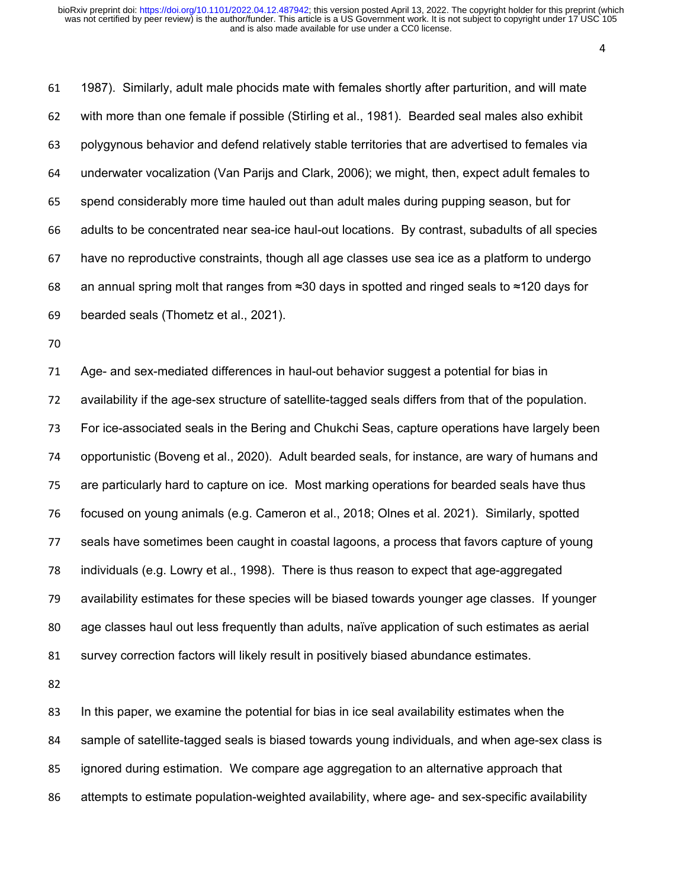1987). Similarly, adult male phocids mate with females shortly after parturition, and will mate with more than one female if possible (Stirling et al., 1981). Bearded seal males also exhibit polygynous behavior and defend relatively stable territories that are advertised to females via underwater vocalization (Van Parijs and Clark, 2006); we might, then, expect adult females to spend considerably more time hauled out than adult males during pupping season, but for adults to be concentrated near sea-ice haul-out locations. By contrast, subadults of all species have no reproductive constraints, though all age classes use sea ice as a platform to undergo an annual spring molt that ranges from ≈30 days in spotted and ringed seals to ≈120 days for bearded seals (Thometz et al., 2021).

 Age- and sex-mediated differences in haul-out behavior suggest a potential for bias in availability if the age-sex structure of satellite-tagged seals differs from that of the population. For ice-associated seals in the Bering and Chukchi Seas, capture operations have largely been opportunistic (Boveng et al., 2020). Adult bearded seals, for instance, are wary of humans and are particularly hard to capture on ice. Most marking operations for bearded seals have thus focused on young animals (e.g. Cameron et al., 2018; Olnes et al. 2021). Similarly, spotted seals have sometimes been caught in coastal lagoons, a process that favors capture of young individuals (e.g. Lowry et al., 1998). There is thus reason to expect that age-aggregated availability estimates for these species will be biased towards younger age classes. If younger age classes haul out less frequently than adults, naïve application of such estimates as aerial survey correction factors will likely result in positively biased abundance estimates.

 In this paper, we examine the potential for bias in ice seal availability estimates when the sample of satellite-tagged seals is biased towards young individuals, and when age-sex class is ignored during estimation. We compare age aggregation to an alternative approach that attempts to estimate population-weighted availability, where age- and sex-specific availability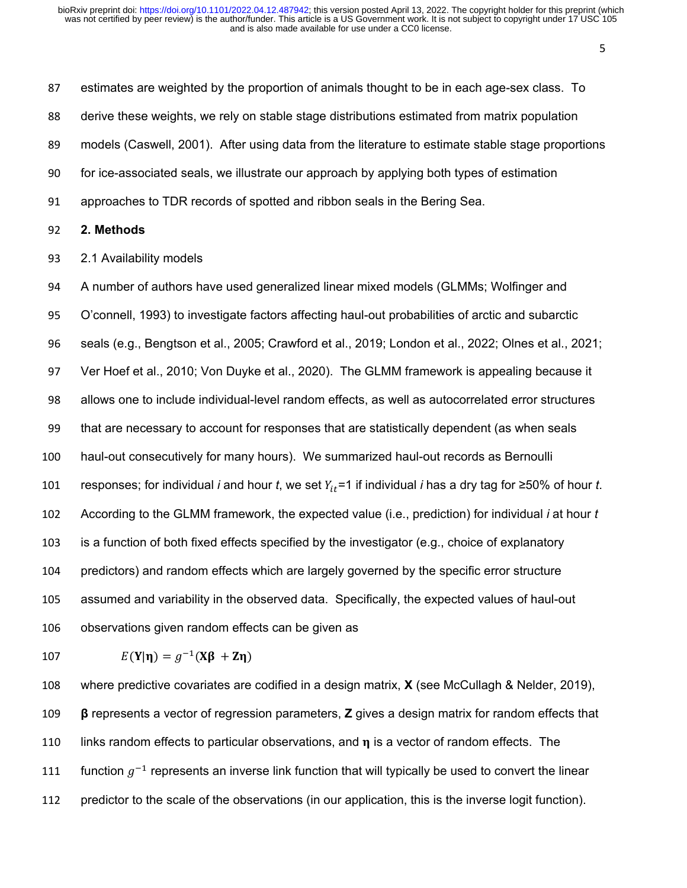estimates are weighted by the proportion of animals thought to be in each age-sex class. To derive these weights, we rely on stable stage distributions estimated from matrix population models (Caswell, 2001). After using data from the literature to estimate stable stage proportions for ice-associated seals, we illustrate our approach by applying both types of estimation approaches to TDR records of spotted and ribbon seals in the Bering Sea. **2. Methods** 2.1 Availability models A number of authors have used generalized linear mixed models (GLMMs; Wolfinger and O'connell, 1993) to investigate factors affecting haul-out probabilities of arctic and subarctic seals (e.g., Bengtson et al., 2005; Crawford et al., 2019; London et al., 2022; Olnes et al., 2021; Ver Hoef et al., 2010; Von Duyke et al., 2020). The GLMM framework is appealing because it allows one to include individual-level random effects, as well as autocorrelated error structures that are necessary to account for responses that are statistically dependent (as when seals haul-out consecutively for many hours). We summarized haul-out records as Bernoulli 101 responses; for individual *i* and hour *t*, we set  $Y_{it}$  =1 if individual *i* has a dry tag for ≥50% of hour *t*. According to the GLMM framework, the expected value (i.e., prediction) for individual *i* at hour *t* is a function of both fixed effects specified by the investigator (e.g., choice of explanatory predictors) and random effects which are largely governed by the specific error structure assumed and variability in the observed data. Specifically, the expected values of haul-out observations given random effects can be given as

107 
$$
E(Y|\eta) = g^{-1}(X\beta + Z\eta)
$$

 where predictive covariates are codified in a design matrix, **X** (see McCullagh & Nelder, 2019), **β** represents a vector of regression parameters, **Z** gives a design matrix for random effects that 110 links random effects to particular observations, and  $\eta$  is a vector of random effects. The 111 function  $g^{-1}$  represents an inverse link function that will typically be used to convert the linear predictor to the scale of the observations (in our application, this is the inverse logit function).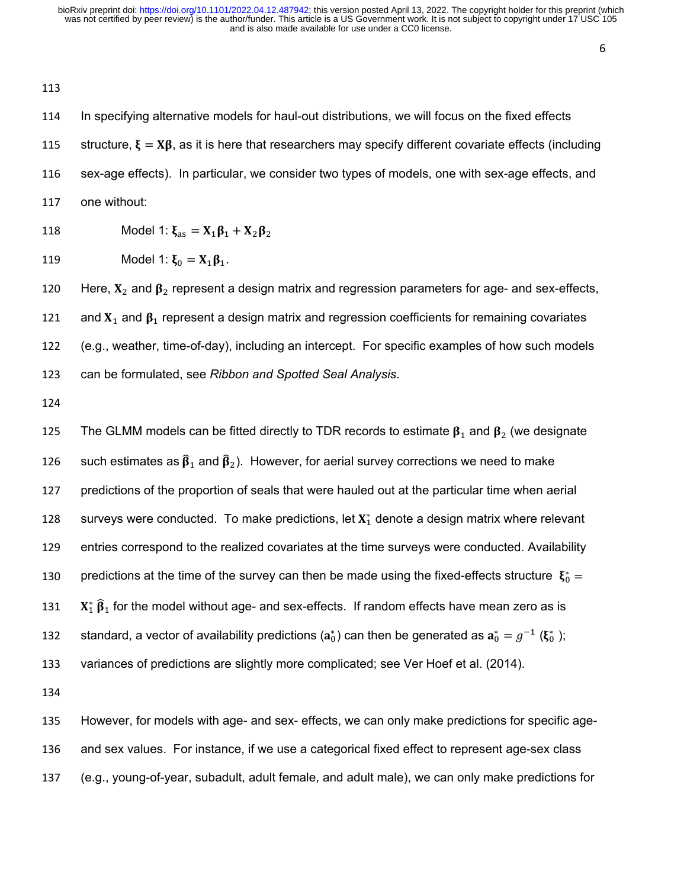In specifying alternative models for haul-out distributions, we will focus on the fixed effects 115 structure,  $\xi = X\beta$ , as it is here that researchers may specify different covariate effects (including sex-age effects). In particular, we consider two types of models, one with sex-age effects, and one without:

118 Model 1: 
$$
\xi_{as} = X_1 \beta_1 + X_2 \beta_2
$$

119 Model 1: 
$$
\xi_0 = X_1 \beta_1
$$
.

120 Here,  $X_2$  and  $\beta_2$  represent a design matrix and regression parameters for age- and sex-effects, 121 and  $X_1$  and  $\beta_1$  represent a design matrix and regression coefficients for remaining covariates (e.g., weather, time-of-day), including an intercept. For specific examples of how such models can be formulated, see *Ribbon and Spotted Seal Analysis*.

125 The GLMM models can be fitted directly to TDR records to estimate  $\beta_1$  and  $\beta_2$  (we designate 126 such estimates as  $\widehat{\beta}_1$  and  $\widehat{\beta}_2$ ). However, for aerial survey corrections we need to make predictions of the proportion of seals that were hauled out at the particular time when aerial 128 surveys were conducted. To make predictions, let  $X_1^*$  denote a design matrix where relevant entries correspond to the realized covariates at the time surveys were conducted. Availability 130 bredictions at the time of the survey can then be made using the fixed-effects structure  $\,\mathbf{\mathbf{\mathfrak{z}}}_0^* =$  $X_1^* \hat{\beta}_1$  for the model without age- and sex-effects. If random effects have mean zero as is 132 standard, a vector of availability predictions ( $a_0^*$ ) can then be generated as  $a_0^*=g^{-1}$  ( $\xi_0^*$  ); variances of predictions are slightly more complicated; see Ver Hoef et al. (2014).

 However, for models with age- and sex- effects, we can only make predictions for specific age- and sex values. For instance, if we use a categorical fixed effect to represent age-sex class (e.g., young-of-year, subadult, adult female, and adult male), we can only make predictions for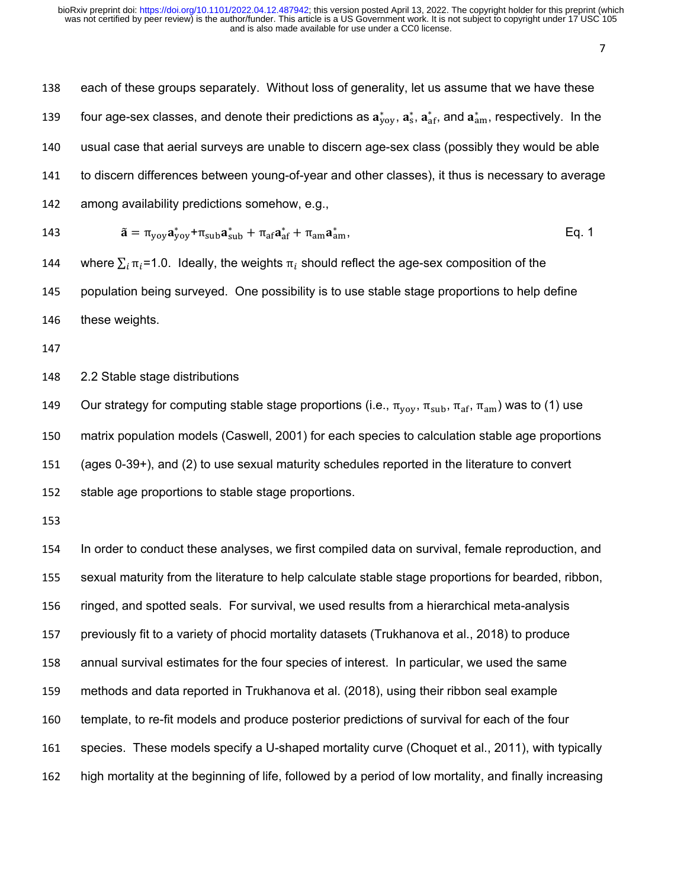| 138 | each of these groups separately. Without loss of generality, let us assume that we have these                                                                                                                 |
|-----|---------------------------------------------------------------------------------------------------------------------------------------------------------------------------------------------------------------|
| 139 | four age-sex classes, and denote their predictions as $a_{\text{yoy}}^*$ , $a_{\text{sf}}^*$ , and $a_{\text{am}}^*$ , respectively. In the                                                                   |
| 140 | usual case that aerial surveys are unable to discern age-sex class (possibly they would be able                                                                                                               |
| 141 | to discern differences between young-of-year and other classes), it thus is necessary to average                                                                                                              |
| 142 | among availability predictions somehow, e.g.,                                                                                                                                                                 |
| 143 | $\tilde{\mathbf{a}} = \pi_{\text{yoy}} \mathbf{a}_{\text{yoy}}^* + \pi_{\text{sub}} \mathbf{a}_{\text{sub}}^* + \pi_{\text{af}} \mathbf{a}_{\text{af}}^* + \pi_{\text{am}} \mathbf{a}_{\text{am}}^*$<br>Eq. 1 |
| 144 | where $\sum_i \pi_i = 1.0$ . Ideally, the weights $\pi_i$ should reflect the age-sex composition of the                                                                                                       |
| 145 | population being surveyed. One possibility is to use stable stage proportions to help define                                                                                                                  |
| 146 | these weights.                                                                                                                                                                                                |
| 147 |                                                                                                                                                                                                               |
| 148 | 2.2 Stable stage distributions                                                                                                                                                                                |
| 149 | Our strategy for computing stable stage proportions (i.e., $\pi_{\text{yoy}}$ , $\pi_{\text{sub}}$ , $\pi_{\text{af}}$ , $\pi_{\text{am}}$ ) was to (1) use                                                   |
| 150 | matrix population models (Caswell, 2001) for each species to calculation stable age proportions                                                                                                               |
| 151 | (ages 0-39+), and (2) to use sexual maturity schedules reported in the literature to convert                                                                                                                  |
| 152 | stable age proportions to stable stage proportions.                                                                                                                                                           |
| 153 |                                                                                                                                                                                                               |
| 154 | In order to conduct these analyses, we first compiled data on survival, female reproduction, and                                                                                                              |
| 155 | sexual maturity from the literature to help calculate stable stage proportions for bearded, ribbon,                                                                                                           |
| 156 | ringed, and spotted seals. For survival, we used results from a hierarchical meta-analysis                                                                                                                    |
| 157 | previously fit to a variety of phocid mortality datasets (Trukhanova et al., 2018) to produce                                                                                                                 |
| 158 | annual survival estimates for the four species of interest. In particular, we used the same                                                                                                                   |
| 159 | methods and data reported in Trukhanova et al. (2018), using their ribbon seal example                                                                                                                        |
| 160 | template, to re-fit models and produce posterior predictions of survival for each of the four                                                                                                                 |
| 161 | species. These models specify a U-shaped mortality curve (Choquet et al., 2011), with typically                                                                                                               |
| 162 | high mortality at the beginning of life, followed by a period of low mortality, and finally increasing                                                                                                        |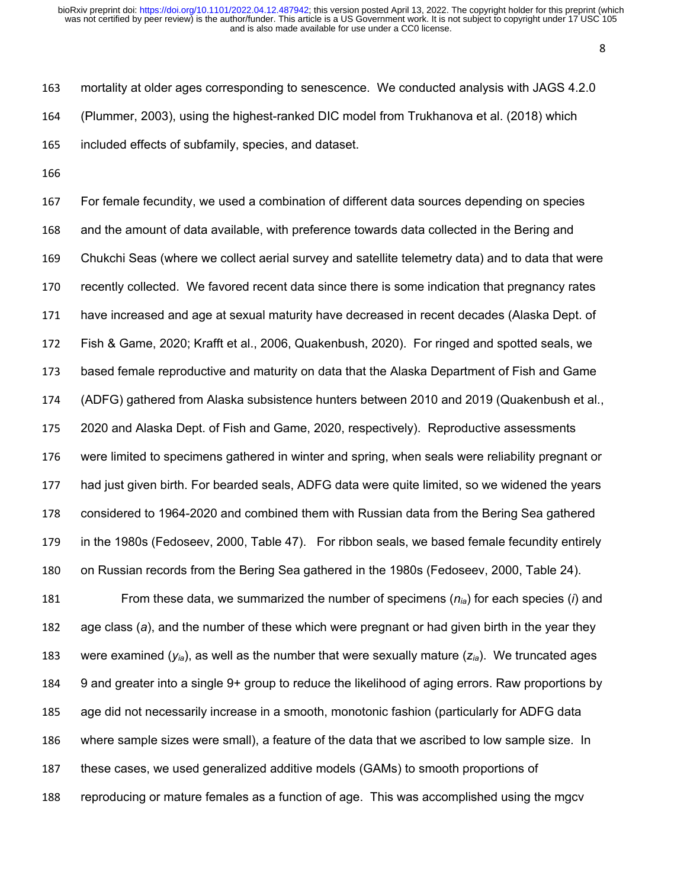mortality at older ages corresponding to senescence. We conducted analysis with JAGS 4.2.0 (Plummer, 2003), using the highest-ranked DIC model from Trukhanova et al. (2018) which included effects of subfamily, species, and dataset.

 For female fecundity, we used a combination of different data sources depending on species and the amount of data available, with preference towards data collected in the Bering and Chukchi Seas (where we collect aerial survey and satellite telemetry data) and to data that were recently collected. We favored recent data since there is some indication that pregnancy rates have increased and age at sexual maturity have decreased in recent decades (Alaska Dept. of Fish & Game, 2020; Krafft et al., 2006, Quakenbush, 2020). For ringed and spotted seals, we based female reproductive and maturity on data that the Alaska Department of Fish and Game (ADFG) gathered from Alaska subsistence hunters between 2010 and 2019 (Quakenbush et al., 2020 and Alaska Dept. of Fish and Game, 2020, respectively). Reproductive assessments were limited to specimens gathered in winter and spring, when seals were reliability pregnant or had just given birth. For bearded seals, ADFG data were quite limited, so we widened the years considered to 1964-2020 and combined them with Russian data from the Bering Sea gathered in the 1980s (Fedoseev, 2000, Table 47). For ribbon seals, we based female fecundity entirely on Russian records from the Bering Sea gathered in the 1980s (Fedoseev, 2000, Table 24).

 From these data, we summarized the number of specimens (*nia*) for each species (*i*) and age class (*a*), and the number of these which were pregnant or had given birth in the year they were examined (*yia*), as well as the number that were sexually mature (*zia*). We truncated ages 9 and greater into a single 9+ group to reduce the likelihood of aging errors. Raw proportions by age did not necessarily increase in a smooth, monotonic fashion (particularly for ADFG data where sample sizes were small), a feature of the data that we ascribed to low sample size. In these cases, we used generalized additive models (GAMs) to smooth proportions of reproducing or mature females as a function of age. This was accomplished using the mgcv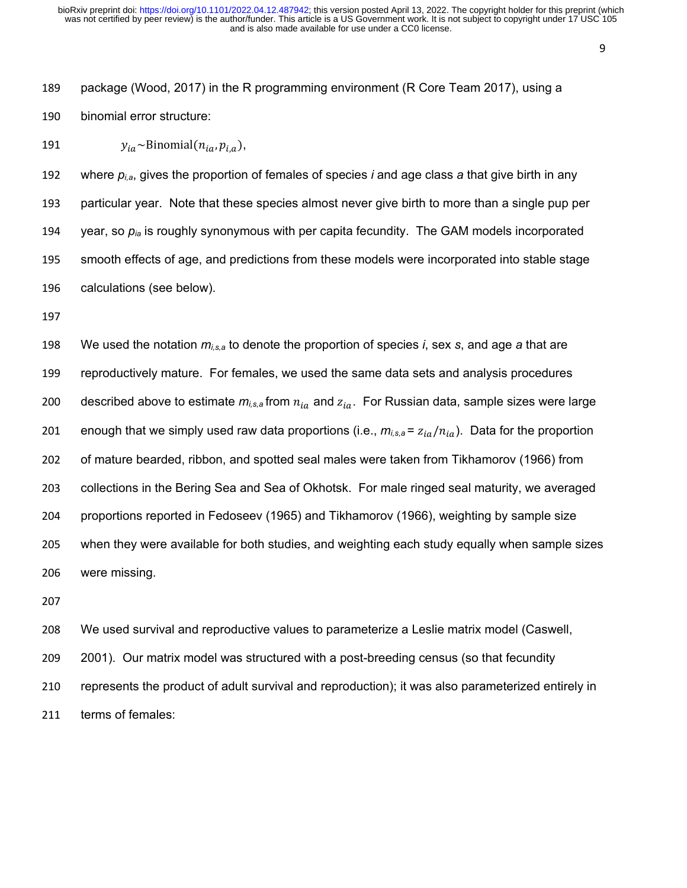package (Wood, 2017) in the R programming environment (R Core Team 2017), using a binomial error structure:

191  $y_{ia} \sim Binomial(n_{ia}, p_{ia}),$ 

 where *pi,a*, gives the proportion of females of species *i* and age class *a* that give birth in any particular year. Note that these species almost never give birth to more than a single pup per year, so *pia* is roughly synonymous with per capita fecundity. The GAM models incorporated smooth effects of age, and predictions from these models were incorporated into stable stage calculations (see below).

 We used the notation *mi,s,a* to denote the proportion of species *i*, sex *s*, and age *a* that are reproductively mature. For females, we used the same data sets and analysis procedures 200 described above to estimate  $m_{i,s,a}$  from  $n_{ia}$  and  $z_{ia}$ . For Russian data, sample sizes were large 201 enough that we simply used raw data proportions (i.e.,  $m_{i,s,a} = z_{ia}/n_{ia}$ ). Data for the proportion of mature bearded, ribbon, and spotted seal males were taken from Tikhamorov (1966) from collections in the Bering Sea and Sea of Okhotsk. For male ringed seal maturity, we averaged proportions reported in Fedoseev (1965) and Tikhamorov (1966), weighting by sample size when they were available for both studies, and weighting each study equally when sample sizes were missing.

 We used survival and reproductive values to parameterize a Leslie matrix model (Caswell, 2001). Our matrix model was structured with a post-breeding census (so that fecundity represents the product of adult survival and reproduction); it was also parameterized entirely in terms of females: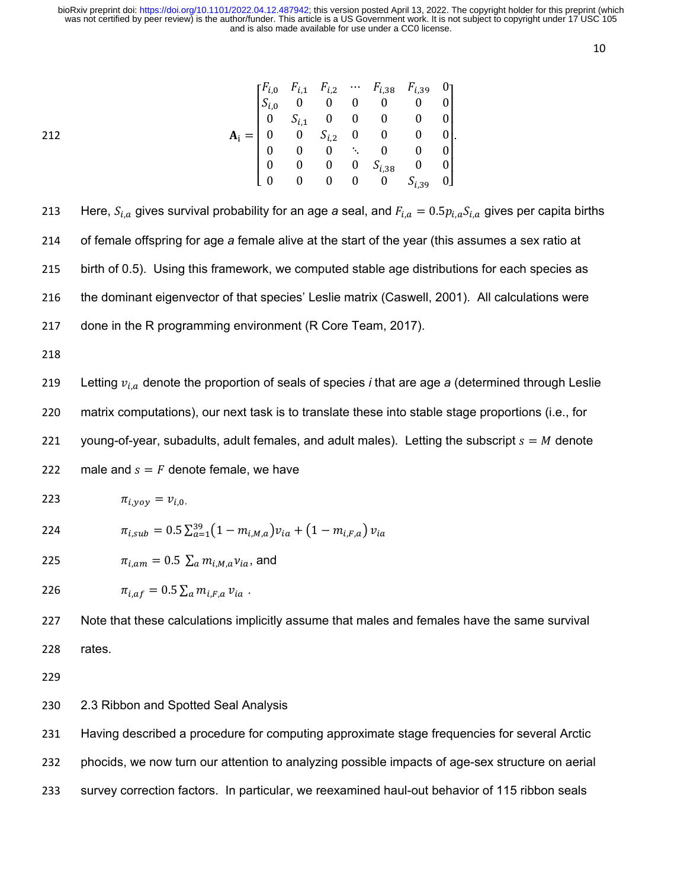10

| 212 |                                                                                                                                                                                                                                                                                                                                   |  |  |  |  |
|-----|-----------------------------------------------------------------------------------------------------------------------------------------------------------------------------------------------------------------------------------------------------------------------------------------------------------------------------------|--|--|--|--|
|     |                                                                                                                                                                                                                                                                                                                                   |  |  |  |  |
|     |                                                                                                                                                                                                                                                                                                                                   |  |  |  |  |
|     | $\mathbf{A_i} = \begin{bmatrix} F_{i,0} & F_{i,1} & F_{i,2} & \cdots & F_{i,38} & F_{i,39} & 0 \\ S_{i,0} & 0 & 0 & 0 & 0 & 0 & 0 \\ 0 & S_{i,1} & 0 & 0 & 0 & 0 & 0 \\ 0 & 0 & S_{i,2} & 0 & 0 & 0 & 0 \\ 0 & 0 & 0 & \ddots & 0 & 0 & 0 \\ 0 & 0 & 0 & 0 & S_{i,38} & 0 & 0 \\ 0 & 0 & 0 & 0 & 0 & S_{i,39} & 0 \end{bmatrix}.$ |  |  |  |  |

213 Here,  $S_{i,a}$  gives survival probability for an age *a* seal, and  $F_{i,a} = 0.5 p_{i,a} S_{i,a}$  gives per capita births of female offspring for age *a* female alive at the start of the year (this assumes a sex ratio at birth of 0.5). Using this framework, we computed stable age distributions for each species as the dominant eigenvector of that species' Leslie matrix (Caswell, 2001). All calculations were done in the R programming environment (R Core Team, 2017).

218

219 Letting  $v_{i,a}$  denote the proportion of seals of species *i* that are age *a* (determined through Leslie 220 matrix computations), our next task is to translate these into stable stage proportions (i.e., for 221 voung-of-year, subadults, adult females, and adult males). Letting the subscript  $s = M$  denote 222 male and  $s = F$  denote female, we have

$$
au_{i, yoy} = v_{i,0}
$$

224 
$$
\pi_{i,sub} = 0.5 \sum_{a=1}^{39} (1 - m_{i,M,a}) v_{ia} + (1 - m_{i,F,a}) v_{ia}
$$

225  $\pi_{i,am} = 0.5 \sum_a m_{i,M,a} v_{ia}$ , and

226 
$$
\pi_{i,af} = 0.5 \sum_a m_{i,F,a} v_{ia} .
$$

227 Note that these calculations implicitly assume that males and females have the same survival 228 rates.

229

### 230 2.3 Ribbon and Spotted Seal Analysis

231 Having described a procedure for computing approximate stage frequencies for several Arctic

232 phocids, we now turn our attention to analyzing possible impacts of age-sex structure on aerial

233 survey correction factors. In particular, we reexamined haul-out behavior of 115 ribbon seals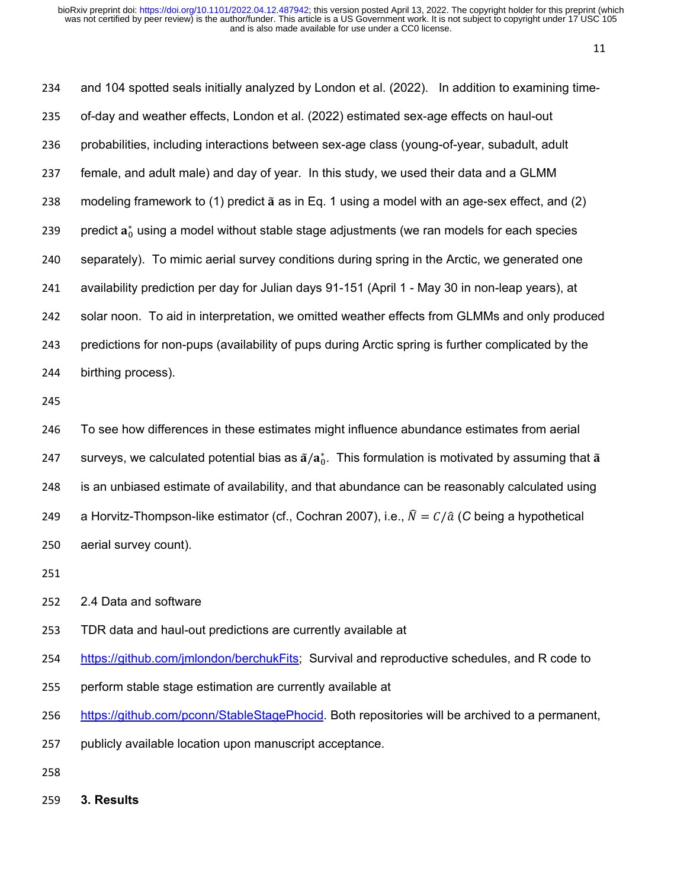and 104 spotted seals initially analyzed by London et al. (2022). In addition to examining time- of-day and weather effects, London et al. (2022) estimated sex-age effects on haul-out probabilities, including interactions between sex-age class (young-of-year, subadult, adult female, and adult male) and day of year. In this study, we used their data and a GLMM 238 modeling framework to  $(1)$  predict  $\tilde{a}$  as in Eq. 1 using a model with an age-sex effect, and  $(2)$  $\;$  predict  ${\bf a}_0^*$  using a model without stable stage adjustments (we ran models for each species separately). To mimic aerial survey conditions during spring in the Arctic, we generated one availability prediction per day for Julian days 91-151 (April 1 - May 30 in non-leap years), at solar noon. To aid in interpretation, we omitted weather effects from GLMMs and only produced predictions for non-pups (availability of pups during Arctic spring is further complicated by the birthing process). To see how differences in these estimates might influence abundance estimates from aerial

 $\;$  surveys, we calculated potential bias as  $\mathrm{\tilde{a}}/\mathrm{a}_0^*$ . This formulation is motivated by assuming that  $\mathrm{\tilde{a}}$  is an unbiased estimate of availability, and that abundance can be reasonably calculated using 249 a Horvitz-Thompson-like estimator (cf., Cochran 2007), i.e.,  $\hat{N} = C/\hat{a}$  (C being a hypothetical aerial survey count).

- 
- 2.4 Data and software
- TDR data and haul-out predictions are currently available at
- [https://github.com/jmlondon/berchukFits;](https://github.com/jmlondon/berchukFits) Survival and reproductive schedules, and R code to
- perform stable stage estimation are currently available at
- [https://github.com/pconn/StableStagePhocid.](https://github.com/pconn/StableStagePhocid) Both repositories will be archived to a permanent,
- publicly available location upon manuscript acceptance.
- 
- **3. Results**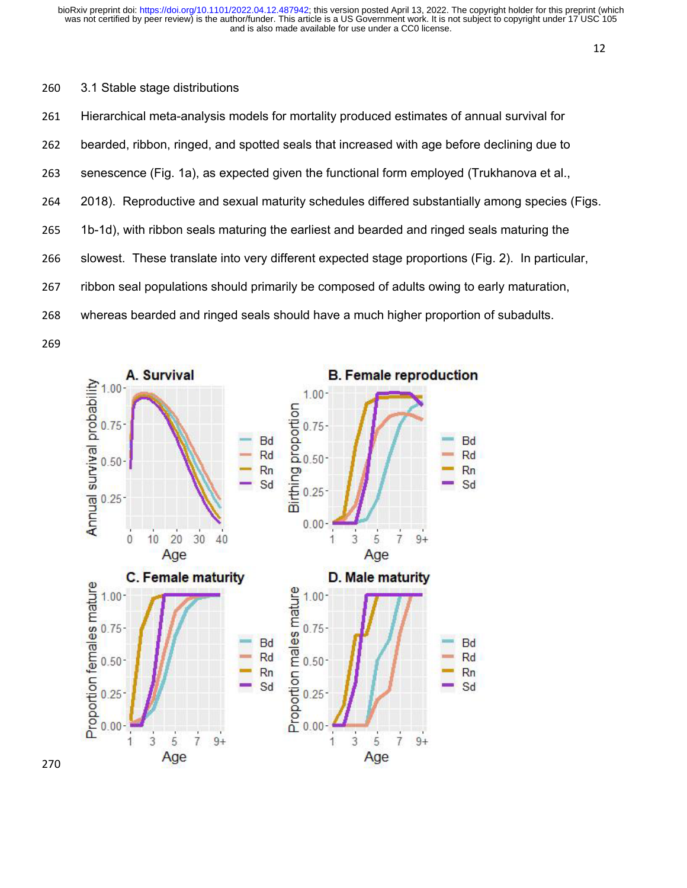#### 3.1 Stable stage distributions

 Hierarchical meta-analysis models for mortality produced estimates of annual survival for bearded, ribbon, ringed, and spotted seals that increased with age before declining due to senescence (Fig. 1a), as expected given the functional form employed (Trukhanova et al., 2018). Reproductive and sexual maturity schedules differed substantially among species (Figs. 1b-1d), with ribbon seals maturing the earliest and bearded and ringed seals maturing the slowest. These translate into very different expected stage proportions (Fig. 2). In particular, ribbon seal populations should primarily be composed of adults owing to early maturation, whereas bearded and ringed seals should have a much higher proportion of subadults.

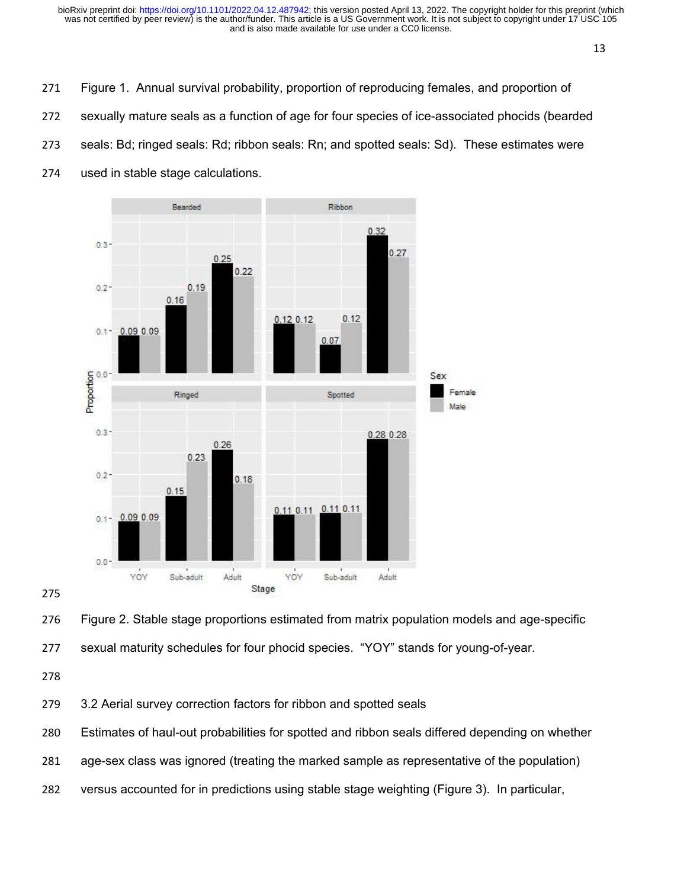- Figure 1. Annual survival probability, proportion of reproducing females, and proportion of
- sexually mature seals as a function of age for four species of ice-associated phocids (bearded
- seals: Bd; ringed seals: Rd; ribbon seals: Rn; and spotted seals: Sd). These estimates were
- used in stable stage calculations.



#### 

 Figure 2. Stable stage proportions estimated from matrix population models and age-specific sexual maturity schedules for four phocid species. "YOY" stands for young-of-year.

3.2 Aerial survey correction factors for ribbon and spotted seals

- Estimates of haul-out probabilities for spotted and ribbon seals differed depending on whether
- age-sex class was ignored (treating the marked sample as representative of the population)
- versus accounted for in predictions using stable stage weighting (Figure 3). In particular,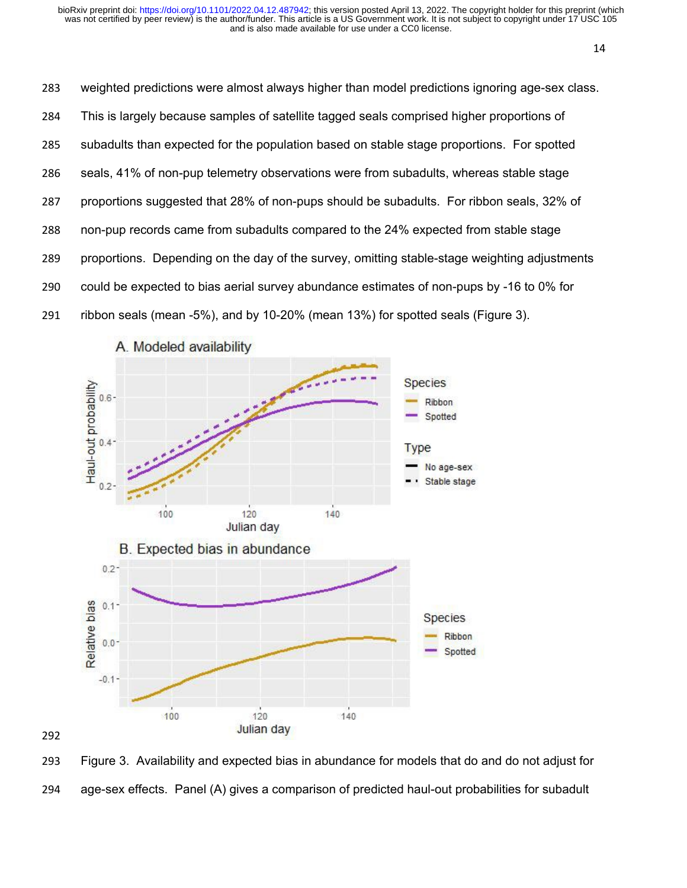weighted predictions were almost always higher than model predictions ignoring age-sex class. This is largely because samples of satellite tagged seals comprised higher proportions of subadults than expected for the population based on stable stage proportions. For spotted seals, 41% of non-pup telemetry observations were from subadults, whereas stable stage proportions suggested that 28% of non-pups should be subadults. For ribbon seals, 32% of non-pup records came from subadults compared to the 24% expected from stable stage proportions. Depending on the day of the survey, omitting stable-stage weighting adjustments could be expected to bias aerial survey abundance estimates of non-pups by -16 to 0% for ribbon seals (mean -5%), and by 10-20% (mean 13%) for spotted seals (Figure 3).



 Figure 3. Availability and expected bias in abundance for models that do and do not adjust for age-sex effects. Panel (A) gives a comparison of predicted haul-out probabilities for subadult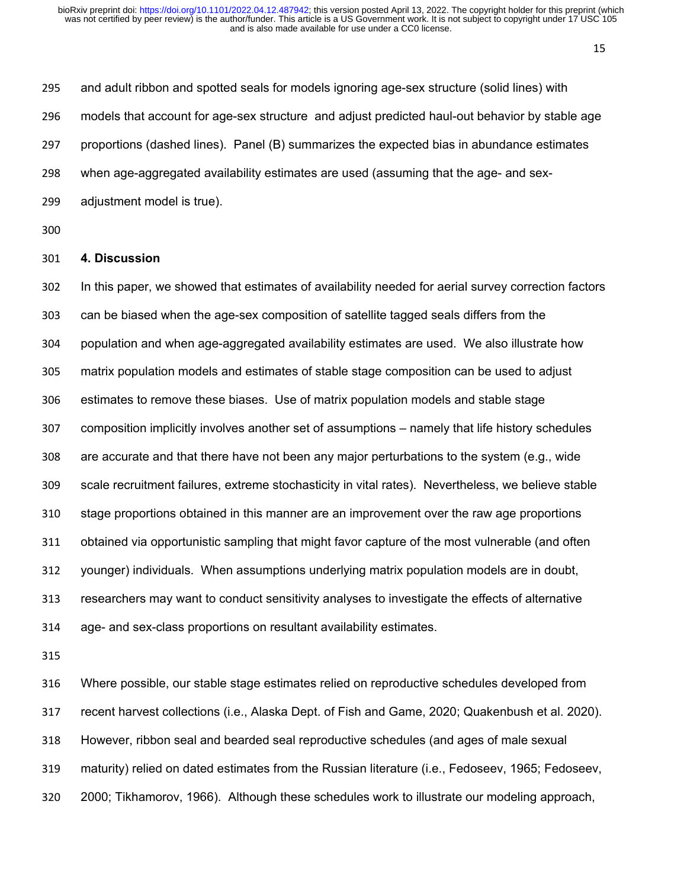and adult ribbon and spotted seals for models ignoring age-sex structure (solid lines) with models that account for age-sex structure and adjust predicted haul-out behavior by stable age proportions (dashed lines). Panel (B) summarizes the expected bias in abundance estimates when age-aggregated availability estimates are used (assuming that the age- and sex-adjustment model is true).

#### **4. Discussion**

 In this paper, we showed that estimates of availability needed for aerial survey correction factors can be biased when the age-sex composition of satellite tagged seals differs from the population and when age-aggregated availability estimates are used. We also illustrate how matrix population models and estimates of stable stage composition can be used to adjust estimates to remove these biases. Use of matrix population models and stable stage composition implicitly involves another set of assumptions – namely that life history schedules are accurate and that there have not been any major perturbations to the system (e.g., wide scale recruitment failures, extreme stochasticity in vital rates). Nevertheless, we believe stable stage proportions obtained in this manner are an improvement over the raw age proportions obtained via opportunistic sampling that might favor capture of the most vulnerable (and often younger) individuals. When assumptions underlying matrix population models are in doubt, researchers may want to conduct sensitivity analyses to investigate the effects of alternative age- and sex-class proportions on resultant availability estimates.

 Where possible, our stable stage estimates relied on reproductive schedules developed from recent harvest collections (i.e., Alaska Dept. of Fish and Game, 2020; Quakenbush et al. 2020). However, ribbon seal and bearded seal reproductive schedules (and ages of male sexual maturity) relied on dated estimates from the Russian literature (i.e., Fedoseev, 1965; Fedoseev, 2000; Tikhamorov, 1966). Although these schedules work to illustrate our modeling approach,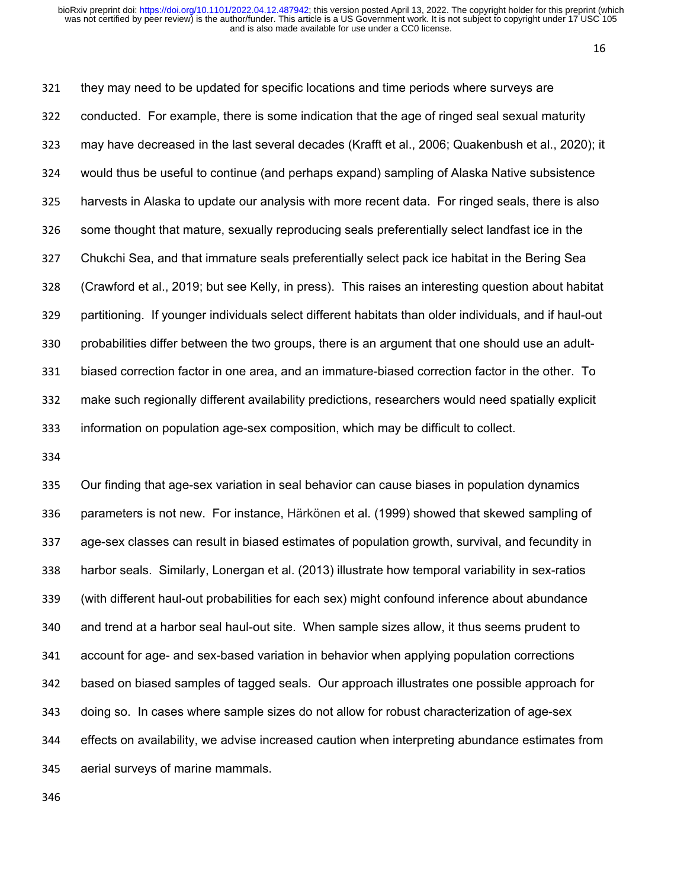they may need to be updated for specific locations and time periods where surveys are conducted. For example, there is some indication that the age of ringed seal sexual maturity may have decreased in the last several decades (Krafft et al., 2006; Quakenbush et al., 2020); it would thus be useful to continue (and perhaps expand) sampling of Alaska Native subsistence harvests in Alaska to update our analysis with more recent data. For ringed seals, there is also some thought that mature, sexually reproducing seals preferentially select landfast ice in the Chukchi Sea, and that immature seals preferentially select pack ice habitat in the Bering Sea (Crawford et al., 2019; but see Kelly, in press). This raises an interesting question about habitat partitioning. If younger individuals select different habitats than older individuals, and if haul-out probabilities differ between the two groups, there is an argument that one should use an adult- biased correction factor in one area, and an immature-biased correction factor in the other. To make such regionally different availability predictions, researchers would need spatially explicit information on population age-sex composition, which may be difficult to collect.

 Our finding that age-sex variation in seal behavior can cause biases in population dynamics parameters is not new. For instance, Härkönen et al. (1999) showed that skewed sampling of age-sex classes can result in biased estimates of population growth, survival, and fecundity in harbor seals. Similarly, Lonergan et al. (2013) illustrate how temporal variability in sex-ratios (with different haul-out probabilities for each sex) might confound inference about abundance and trend at a harbor seal haul-out site. When sample sizes allow, it thus seems prudent to account for age- and sex-based variation in behavior when applying population corrections based on biased samples of tagged seals. Our approach illustrates one possible approach for doing so. In cases where sample sizes do not allow for robust characterization of age-sex effects on availability, we advise increased caution when interpreting abundance estimates from aerial surveys of marine mammals.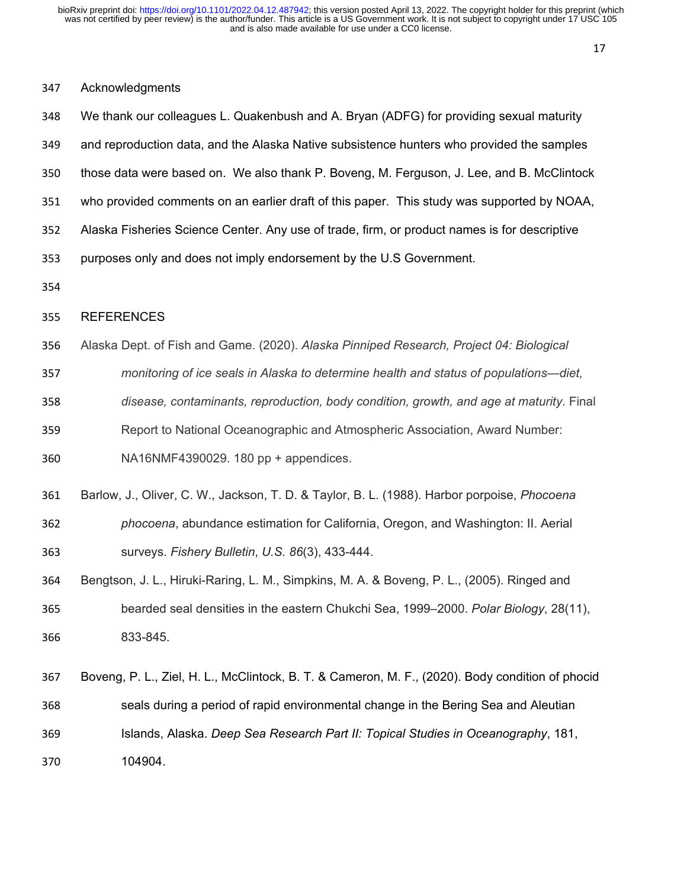# Acknowledgments

| 348 | We thank our colleagues L. Quakenbush and A. Bryan (ADFG) for providing sexual maturity          |
|-----|--------------------------------------------------------------------------------------------------|
| 349 | and reproduction data, and the Alaska Native subsistence hunters who provided the samples        |
| 350 | those data were based on. We also thank P. Boveng, M. Ferguson, J. Lee, and B. McClintock        |
| 351 | who provided comments on an earlier draft of this paper. This study was supported by NOAA,       |
| 352 | Alaska Fisheries Science Center. Any use of trade, firm, or product names is for descriptive     |
| 353 | purposes only and does not imply endorsement by the U.S Government.                              |
| 354 |                                                                                                  |
| 355 | <b>REFERENCES</b>                                                                                |
| 356 | Alaska Dept. of Fish and Game. (2020). Alaska Pinniped Research, Project 04: Biological          |
| 357 | monitoring of ice seals in Alaska to determine health and status of populations—diet,            |
| 358 | disease, contaminants, reproduction, body condition, growth, and age at maturity. Final          |
| 359 | Report to National Oceanographic and Atmospheric Association, Award Number:                      |
| 360 | NA16NMF4390029. 180 pp + appendices.                                                             |
| 361 | Barlow, J., Oliver, C. W., Jackson, T. D. & Taylor, B. L. (1988). Harbor porpoise, Phocoena      |
| 362 | phocoena, abundance estimation for California, Oregon, and Washington: II. Aerial                |
| 363 | surveys. Fishery Bulletin, U.S. 86(3), 433-444.                                                  |
| 364 | Bengtson, J. L., Hiruki-Raring, L. M., Simpkins, M. A. & Boveng, P. L., (2005). Ringed and       |
| 365 | bearded seal densities in the eastern Chukchi Sea, 1999-2000. Polar Biology, 28(11),             |
| 366 | 833-845.                                                                                         |
| 367 | Boveng, P. L., Ziel, H. L., McClintock, B. T. & Cameron, M. F., (2020). Body condition of phocid |
| 368 | seals during a period of rapid environmental change in the Bering Sea and Aleutian               |
| 369 | Islands, Alaska. Deep Sea Research Part II: Topical Studies in Oceanography, 181,                |
| 370 | 104904.                                                                                          |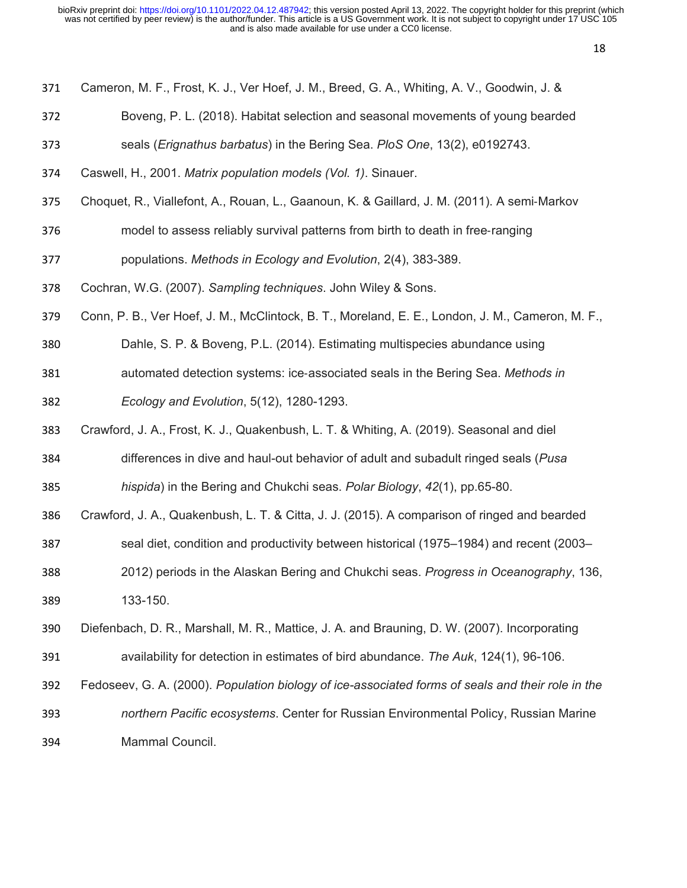- Cameron, M. F., Frost, K. J., Ver Hoef, J. M., Breed, G. A., Whiting, A. V., Goodwin, J. &
- Boveng, P. L. (2018). Habitat selection and seasonal movements of young bearded
- seals (*Erignathus barbatus*) in the Bering Sea. *PloS One*, 13(2), e0192743.
- Caswell, H., 2001. *Matrix population models (Vol. 1)*. Sinauer.
- Choquet, R., Viallefont, A., Rouan, L., Gaanoun, K. & Gaillard, J. M. (2011). A semi‐Markov
- model to assess reliably survival patterns from birth to death in free‐ranging
- populations. *Methods in Ecology and Evolution*, 2(4), 383-389.
- Cochran, W.G. (2007). *Sampling techniques*. John Wiley & Sons.
- Conn, P. B., Ver Hoef, J. M., McClintock, B. T., Moreland, E. E., London, J. M., Cameron, M. F.,
- Dahle, S. P. & Boveng, P.L. (2014). Estimating multispecies abundance using
- automated detection systems: ice‐associated seals in the Bering Sea. *Methods in Ecology and Evolution*, 5(12), 1280-1293.
- Crawford, J. A., Frost, K. J., Quakenbush, L. T. & Whiting, A. (2019). Seasonal and diel
- differences in dive and haul-out behavior of adult and subadult ringed seals (*Pusa hispida*) in the Bering and Chukchi seas. *Polar Biology*, *42*(1), pp.65-80.
- Crawford, J. A., Quakenbush, L. T. & Citta, J. J. (2015). A comparison of ringed and bearded
- seal diet, condition and productivity between historical (1975–1984) and recent (2003–
- 2012) periods in the Alaskan Bering and Chukchi seas. *Progress in Oceanography*, 136, 133-150.
- Diefenbach, D. R., Marshall, M. R., Mattice, J. A. and Brauning, D. W. (2007). Incorporating availability for detection in estimates of bird abundance. *The Auk*, 124(1), 96-106.
- Fedoseev, G. A. (2000). *Population biology of ice-associated forms of seals and their role in the*
- *northern Pacific ecosystems*. Center for Russian Environmental Policy, Russian Marine Mammal Council.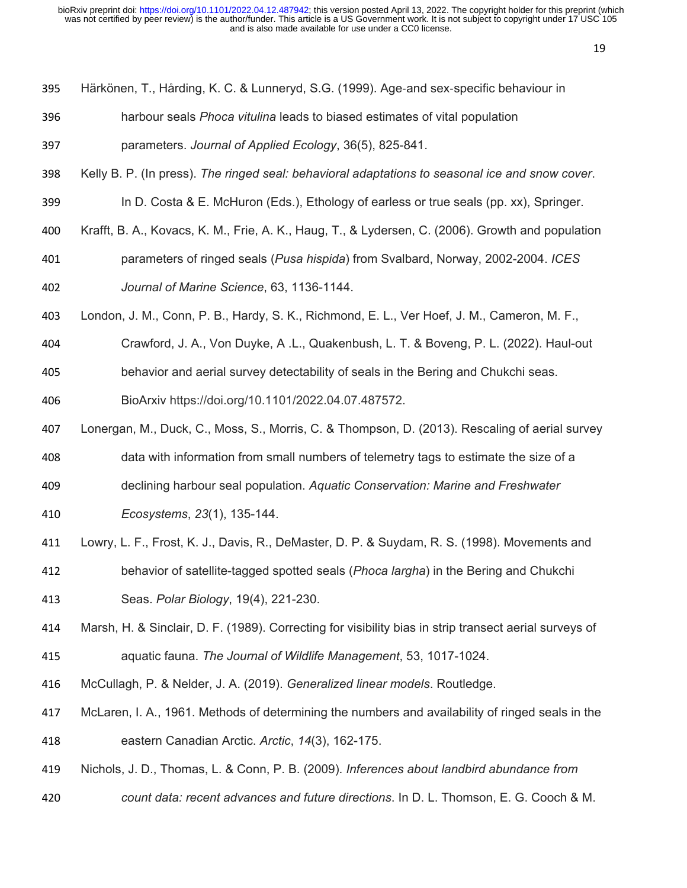- Härkönen, T., Hårding, K. C. & Lunneryd, S.G. (1999). Age‐and sex‐specific behaviour in
- harbour seals *Phoca vitulina* leads to biased estimates of vital population
- parameters. *Journal of Applied Ecology*, 36(5), 825-841.
- Kelly B. P. (In press). *The ringed seal: behavioral adaptations to seasonal ice and snow cover*.
- 399 In D. Costa & E. McHuron (Eds.), Ethology of earless or true seals (pp. xx), Springer.
- Krafft, B. A., Kovacs, K. M., Frie, A. K., Haug, T., & Lydersen, C. (2006). Growth and population
- parameters of ringed seals (*Pusa hispida*) from Svalbard, Norway, 2002-2004. *ICES Journal of Marine Science*, 63, 1136-1144.
- London, J. M., Conn, P. B., Hardy, S. K., Richmond, E. L., Ver Hoef, J. M., Cameron, M. F.,
- Crawford, J. A., Von Duyke, A .L., Quakenbush, L. T. & Boveng, P. L. (2022). Haul-out
- behavior and aerial survey detectability of seals in the Bering and Chukchi seas.

BioArxiv https://doi.org/10.1101/2022.04.07.487572.

- Lonergan, M., Duck, C., Moss, S., Morris, C. & Thompson, D. (2013). Rescaling of aerial survey data with information from small numbers of telemetry tags to estimate the size of a
- declining harbour seal population. *Aquatic Conservation: Marine and Freshwater*
- *Ecosystems*, *23*(1), 135-144.
- Lowry, L. F., Frost, K. J., Davis, R., DeMaster, D. P. & Suydam, R. S. (1998). Movements and behavior of satellite-tagged spotted seals (*Phoca largha*) in the Bering and Chukchi Seas. *Polar Biology*, 19(4), 221-230.
- Marsh, H. & Sinclair, D. F. (1989). Correcting for visibility bias in strip transect aerial surveys of aquatic fauna. *The Journal of Wildlife Management*, 53, 1017-1024.
- McCullagh, P. & Nelder, J. A. (2019). *Generalized linear models*. Routledge.
- McLaren, I. A., 1961. Methods of determining the numbers and availability of ringed seals in the eastern Canadian Arctic. *Arctic*, *14*(3), 162-175.
- Nichols, J. D., Thomas, L. & Conn, P. B. (2009). *Inferences about landbird abundance from*
- *count data: recent advances and future directions*. In D. L. Thomson, E. G. Cooch & M.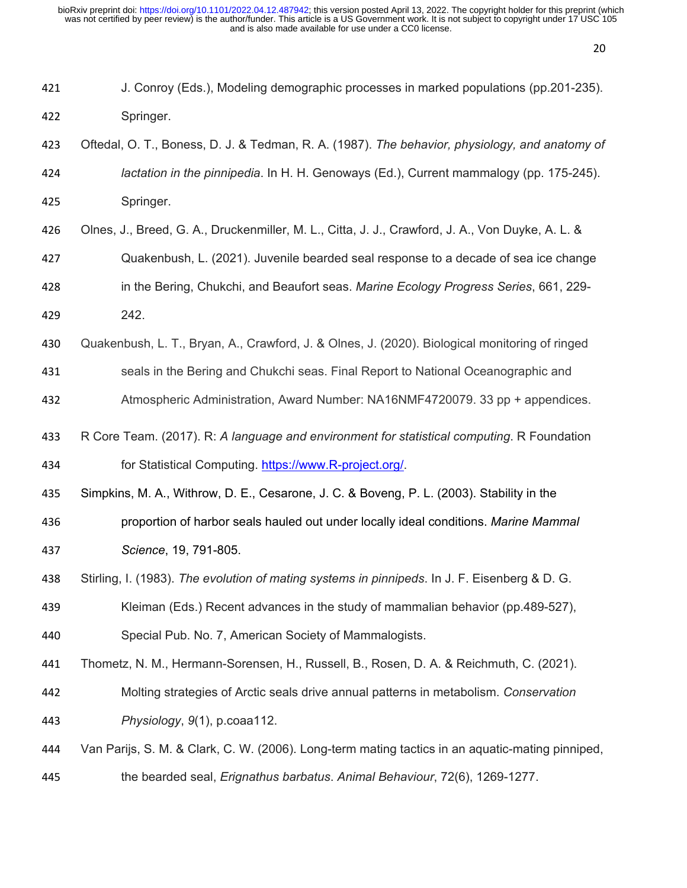| 421 | J. Conroy (Eds.), Modeling demographic processes in marked populations (pp.201-235).             |
|-----|--------------------------------------------------------------------------------------------------|
| 422 | Springer.                                                                                        |
| 423 | Oftedal, O. T., Boness, D. J. & Tedman, R. A. (1987). The behavior, physiology, and anatomy of   |
| 424 | lactation in the pinnipedia. In H. H. Genoways (Ed.), Current mammalogy (pp. 175-245).           |
| 425 | Springer.                                                                                        |
| 426 | Olnes, J., Breed, G. A., Druckenmiller, M. L., Citta, J. J., Crawford, J. A., Von Duyke, A. L. & |
| 427 | Quakenbush, L. (2021). Juvenile bearded seal response to a decade of sea ice change              |
| 428 | in the Bering, Chukchi, and Beaufort seas. Marine Ecology Progress Series, 661, 229-             |
| 429 | 242.                                                                                             |
| 430 | Quakenbush, L. T., Bryan, A., Crawford, J. & Olnes, J. (2020). Biological monitoring of ringed   |
| 431 | seals in the Bering and Chukchi seas. Final Report to National Oceanographic and                 |
| 432 | Atmospheric Administration, Award Number: NA16NMF4720079. 33 pp + appendices.                    |
| 433 | R Core Team. (2017). R: A language and environment for statistical computing. R Foundation       |
| 434 | for Statistical Computing. https://www.R-project.org/.                                           |
| 435 | Simpkins, M. A., Withrow, D. E., Cesarone, J. C. & Boveng, P. L. (2003). Stability in the        |
| 436 | proportion of harbor seals hauled out under locally ideal conditions. Marine Mammal              |
| 437 | Science, 19, 791-805.                                                                            |
| 438 | Stirling, I. (1983). The evolution of mating systems in pinnipeds. In J. F. Eisenberg & D. G.    |
| 439 | Kleiman (Eds.) Recent advances in the study of mammalian behavior (pp.489-527),                  |
| 440 | Special Pub. No. 7, American Society of Mammalogists.                                            |
| 441 | Thometz, N. M., Hermann-Sorensen, H., Russell, B., Rosen, D. A. & Reichmuth, C. (2021).          |
| 442 | Molting strategies of Arctic seals drive annual patterns in metabolism. Conservation             |
| 443 | Physiology, 9(1), p.coaa112.                                                                     |
| 444 | Van Parijs, S. M. & Clark, C. W. (2006). Long-term mating tactics in an aquatic-mating pinniped, |

the bearded seal, *Erignathus barbatus*. *Animal Behaviour*, 72(6), 1269-1277.